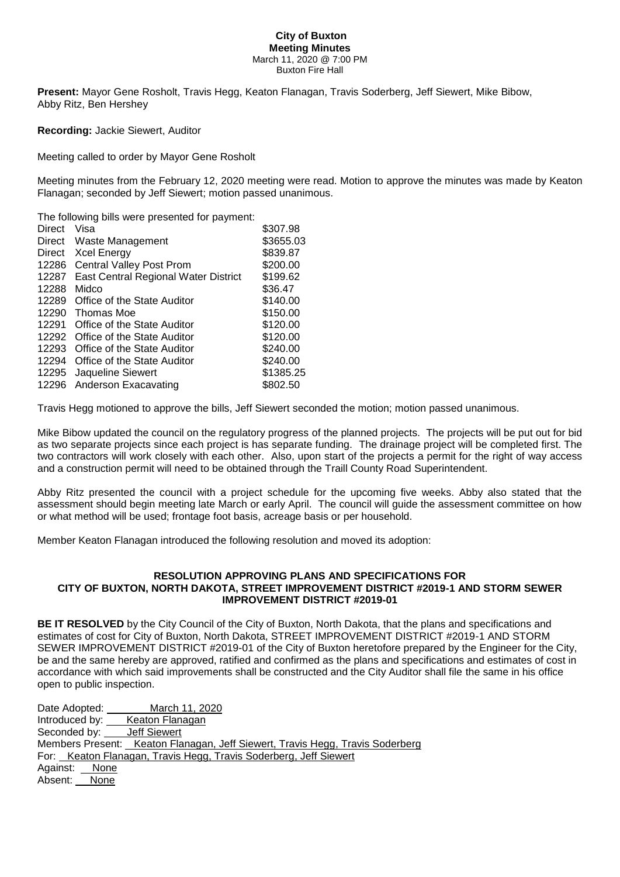## **City of Buxton Meeting Minutes** March 11, 2020 @ 7:00 PM Buxton Fire Hall

**Present:** Mayor Gene Rosholt, Travis Hegg, Keaton Flanagan, Travis Soderberg, Jeff Siewert, Mike Bibow, Abby Ritz, Ben Hershey

**Recording:** Jackie Siewert, Auditor

Meeting called to order by Mayor Gene Rosholt

Meeting minutes from the February 12, 2020 meeting were read. Motion to approve the minutes was made by Keaton Flanagan; seconded by Jeff Siewert; motion passed unanimous.

The following bills were presented for payment:

| <b>Direct</b> | Visa                                 | \$307.98  |
|---------------|--------------------------------------|-----------|
| Direct        | Waste Management                     | \$3655.03 |
| Direct        | <b>Xcel Energy</b>                   | \$839.87  |
| 12286         | <b>Central Valley Post Prom</b>      | \$200.00  |
| 12287         | East Central Regional Water District | \$199.62  |
| 12288         | Midco                                | \$36.47   |
| 12289         | Office of the State Auditor          | \$140.00  |
| 12290         | Thomas Moe                           | \$150.00  |
| 12291         | Office of the State Auditor          | \$120.00  |
| 12292         | Office of the State Auditor          | \$120.00  |
| 12293         | Office of the State Auditor          | \$240.00  |
| 12294         | Office of the State Auditor          | \$240.00  |
| 12295         | Jaqueline Siewert                    | \$1385.25 |
|               | 12296 Anderson Exacavating           | \$802.50  |

Travis Hegg motioned to approve the bills, Jeff Siewert seconded the motion; motion passed unanimous.

Mike Bibow updated the council on the regulatory progress of the planned projects. The projects will be put out for bid as two separate projects since each project is has separate funding. The drainage project will be completed first. The two contractors will work closely with each other. Also, upon start of the projects a permit for the right of way access and a construction permit will need to be obtained through the Traill County Road Superintendent.

Abby Ritz presented the council with a project schedule for the upcoming five weeks. Abby also stated that the assessment should begin meeting late March or early April. The council will guide the assessment committee on how or what method will be used; frontage foot basis, acreage basis or per household.

Member Keaton Flanagan introduced the following resolution and moved its adoption:

## **RESOLUTION APPROVING PLANS AND SPECIFICATIONS FOR CITY OF BUXTON, NORTH DAKOTA, STREET IMPROVEMENT DISTRICT #2019-1 AND STORM SEWER IMPROVEMENT DISTRICT #2019-01**

**BE IT RESOLVED** by the City Council of the City of Buxton, North Dakota, that the plans and specifications and estimates of cost for City of Buxton, North Dakota, STREET IMPROVEMENT DISTRICT #2019-1 AND STORM SEWER IMPROVEMENT DISTRICT #2019-01 of the City of Buxton heretofore prepared by the Engineer for the City, be and the same hereby are approved, ratified and confirmed as the plans and specifications and estimates of cost in accordance with which said improvements shall be constructed and the City Auditor shall file the same in his office open to public inspection.

Date Adopted: March 11, 2020 Introduced by: Keaton Flanagan Seconded by: \_\_\_\_ Jeff Siewert Members Present: Keaton Flanagan, Jeff Siewert, Travis Hegg, Travis Soderberg For: Keaton Flanagan, Travis Hegg, Travis Soderberg, Jeff Siewert Against: None Absent: None